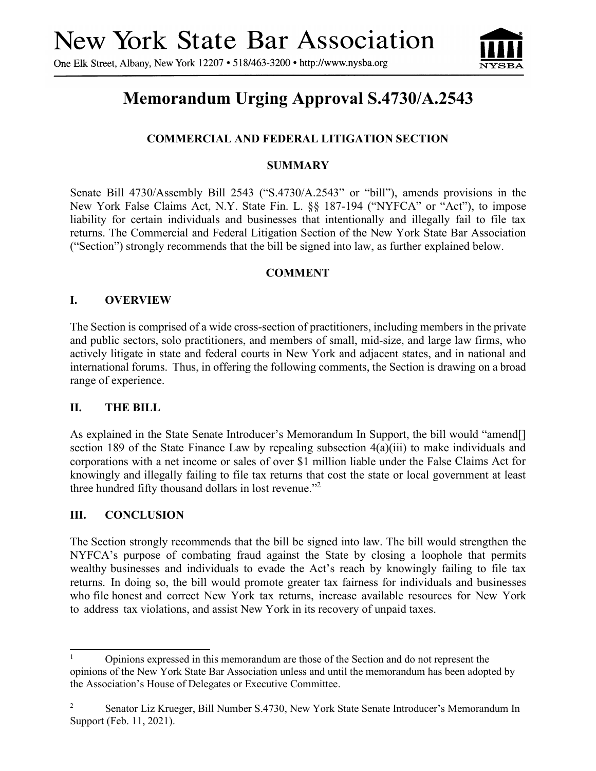One Elk Street, Albany, New York 12207 • 518/463-3200 • http://www.nysba.org



# **Memorandum Urging Approval S.4730/A.2543**

# **COMMERCIAL AND FEDERAL LITIGATION SECTION**

## **SUMMARY**

Senate Bill 4730/Assembly Bill 2543 ("S.4730/A.2543" or "bill"), amends provisions in the New York False Claims Act, N.Y. State Fin. L. §§ 187-194 ("NYFCA" or "Act"), to impose liability for certain individuals and businesses that intentionally and illegally fail to file tax returns. The Commercial and Federal Litigation Section of the New York State Bar Association ("Section") strongly recommends that the bill be signed into law, as further explained below.

## **COMMENT**

## **I. OVERVIEW**

The Section is comprised of a wide cross-section of practitioners, including members in the private and public sectors, solo practitioners, and members of small, mid-size, and large law firms, who actively litigate in state and federal courts in New York and adjacent states, and in national and international forums. Thus, in offering the following comments, the Section is drawing on a broad range of experience.

#### **II. THE BILL**

As explained in the State Senate Introducer's Memorandum In Support, the bill would "amend[] section 189 of the State Finance Law by repealing subsection 4(a)(iii) to make individuals and corporations with a net income or sales of over \$1 million liable under the False Claims Act for knowingly and illegally failing to file tax returns that cost the state or local government at least three hundred fifty thousand dollars in lost revenue."[2](#page-0-0)

#### **III. CONCLUSION**

The Section strongly recommends that the bill be signed into law. The bill would strengthen the NYFCA's purpose of combating fraud against the State by closing a loophole that permits wealthy businesses and individuals to evade the Act's reach by knowingly failing to file tax returns. In doing so, the bill would promote greater tax fairness for individuals and businesses who file honest and correct New York tax returns, increase available resources for New York to address tax violations, and assist New York in its recovery of unpaid taxes.

<sup>&</sup>lt;sup>1</sup> Opinions expressed in this memorandum are those of the Section and do not represent the opinions of the New York State Bar Association unless and until the memorandum has been adopted by the Association's House of Delegates or Executive Committee.

<span id="page-0-0"></span><sup>&</sup>lt;sup>2</sup> Senator Liz Krueger, Bill Number S.4730, New York State Senate Introducer's Memorandum In Support (Feb. 11, 2021).